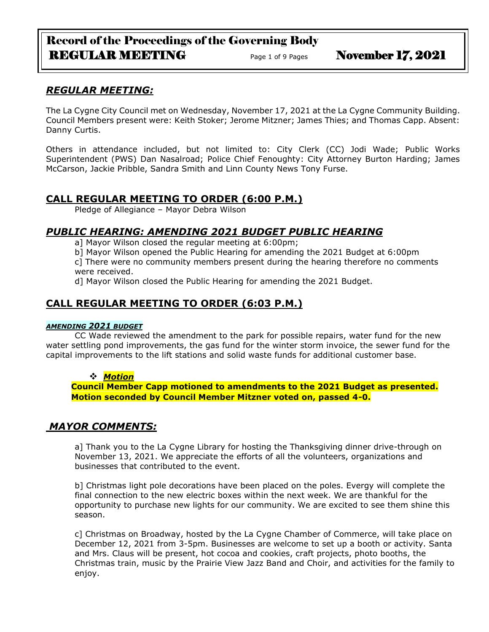# Record of the Proceedings of the Governing Body REGULAR MEETING Page 1 of 9 Pages November 17, 2021

## *REGULAR MEETING:*

The La Cygne City Council met on Wednesday, November 17, 2021 at the La Cygne Community Building. Council Members present were: Keith Stoker; Jerome Mitzner; James Thies; and Thomas Capp. Absent: Danny Curtis.

Others in attendance included, but not limited to: City Clerk (CC) Jodi Wade; Public Works Superintendent (PWS) Dan Nasalroad; Police Chief Fenoughty: City Attorney Burton Harding; James McCarson, Jackie Pribble, Sandra Smith and Linn County News Tony Furse.

# **CALL REGULAR MEETING TO ORDER (6:00 P.M.)**

Pledge of Allegiance – Mayor Debra Wilson

# *PUBLIC HEARING: AMENDING 2021 BUDGET PUBLIC HEARING*

a] Mayor Wilson closed the regular meeting at 6:00pm;

b] Mayor Wilson opened the Public Hearing for amending the 2021 Budget at 6:00pm

c] There were no community members present during the hearing therefore no comments were received.

d] Mayor Wilson closed the Public Hearing for amending the 2021 Budget.

# **CALL REGULAR MEETING TO ORDER (6:03 P.M.)**

#### *AMENDING 2021 BUDGET*

CC Wade reviewed the amendment to the park for possible repairs, water fund for the new water settling pond improvements, the gas fund for the winter storm invoice, the sewer fund for the capital improvements to the lift stations and solid waste funds for additional customer base.

#### ❖ *Motion*

**Council Member Capp motioned to amendments to the 2021 Budget as presented. Motion seconded by Council Member Mitzner voted on, passed 4-0.**

## *MAYOR COMMENTS:*

a] Thank you to the La Cygne Library for hosting the Thanksgiving dinner drive-through on November 13, 2021. We appreciate the efforts of all the volunteers, organizations and businesses that contributed to the event.

b] Christmas light pole decorations have been placed on the poles. Evergy will complete the final connection to the new electric boxes within the next week. We are thankful for the opportunity to purchase new lights for our community. We are excited to see them shine this season.

c] Christmas on Broadway, hosted by the La Cygne Chamber of Commerce, will take place on December 12, 2021 from 3-5pm. Businesses are welcome to set up a booth or activity. Santa and Mrs. Claus will be present, hot cocoa and cookies, craft projects, photo booths, the Christmas train, music by the Prairie View Jazz Band and Choir, and activities for the family to enjoy.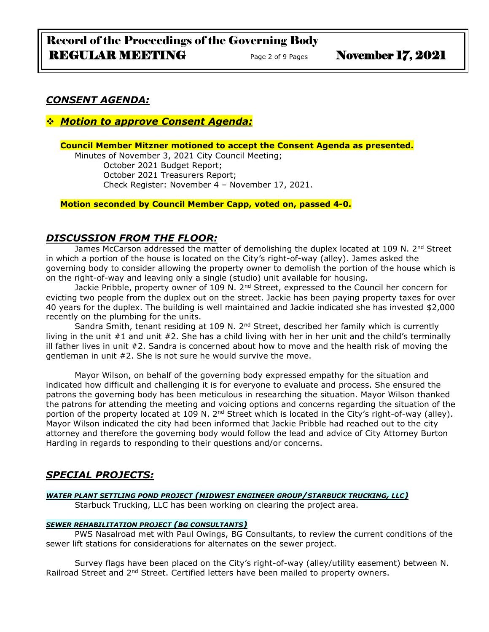# *CONSENT AGENDA:*

## ❖ *Motion to approve Consent Agenda:*

#### **Council Member Mitzner motioned to accept the Consent Agenda as presented.**

Minutes of November 3, 2021 City Council Meeting; October 2021 Budget Report; October 2021 Treasurers Report; Check Register: November 4 – November 17, 2021.

**Motion seconded by Council Member Capp, voted on, passed 4-0.** 

## *DISCUSSION FROM THE FLOOR:*

James McCarson addressed the matter of demolishing the duplex located at 109 N. 2<sup>nd</sup> Street in which a portion of the house is located on the City's right-of-way (alley). James asked the governing body to consider allowing the property owner to demolish the portion of the house which is on the right-of-way and leaving only a single (studio) unit available for housing.

Jackie Pribble, property owner of 109 N. 2<sup>nd</sup> Street, expressed to the Council her concern for evicting two people from the duplex out on the street. Jackie has been paying property taxes for over 40 years for the duplex. The building is well maintained and Jackie indicated she has invested \$2,000 recently on the plumbing for the units.

Sandra Smith, tenant residing at 109 N.  $2<sup>nd</sup>$  Street, described her family which is currently living in the unit #1 and unit #2. She has a child living with her in her unit and the child's terminally ill father lives in unit #2. Sandra is concerned about how to move and the health risk of moving the gentleman in unit #2. She is not sure he would survive the move.

Mayor Wilson, on behalf of the governing body expressed empathy for the situation and indicated how difficult and challenging it is for everyone to evaluate and process. She ensured the patrons the governing body has been meticulous in researching the situation. Mayor Wilson thanked the patrons for attending the meeting and voicing options and concerns regarding the situation of the portion of the property located at 109 N. 2<sup>nd</sup> Street which is located in the City's right-of-way (alley). Mayor Wilson indicated the city had been informed that Jackie Pribble had reached out to the city attorney and therefore the governing body would follow the lead and advice of City Attorney Burton Harding in regards to responding to their questions and/or concerns.

# *SPECIAL PROJECTS:*

## *WATER PLANT SETTLING POND PROJECT (MIDWEST ENGINEER GROUP/STARBUCK TRUCKING, LLC)*

Starbuck Trucking, LLC has been working on clearing the project area.

#### *SEWER REHABILITATION PROJECT (BG CONSULTANTS)*

PWS Nasalroad met with Paul Owings, BG Consultants, to review the current conditions of the sewer lift stations for considerations for alternates on the sewer project.

Survey flags have been placed on the City's right-of-way (alley/utility easement) between N. Railroad Street and 2<sup>nd</sup> Street. Certified letters have been mailed to property owners.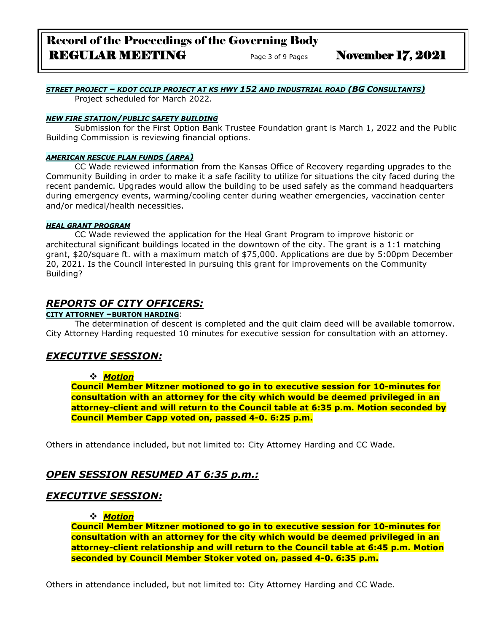# *STREET PROJECT – KDOT CCLIP PROJECT AT KS HWY 152 AND INDUSTRIAL ROAD (BG CONSULTANTS)*

Project scheduled for March 2022.

#### *NEW FIRE STATION/PUBLIC SAFETY BUILDING*

Submission for the First Option Bank Trustee Foundation grant is March 1, 2022 and the Public Building Commission is reviewing financial options.

#### *AMERICAN RESCUE PLAN FUNDS (ARPA)*

CC Wade reviewed information from the Kansas Office of Recovery regarding upgrades to the Community Building in order to make it a safe facility to utilize for situations the city faced during the recent pandemic. Upgrades would allow the building to be used safely as the command headquarters during emergency events, warming/cooling center during weather emergencies, vaccination center and/or medical/health necessities.

#### *HEAL GRANT PROGRAM*

CC Wade reviewed the application for the Heal Grant Program to improve historic or architectural significant buildings located in the downtown of the city. The grant is a 1:1 matching grant, \$20/square ft. with a maximum match of \$75,000. Applications are due by 5:00pm December 20, 2021. Is the Council interested in pursuing this grant for improvements on the Community Building?

## *REPORTS OF CITY OFFICERS:*

#### **CITY ATTORNEY –BURTON HARDING**:

The determination of descent is completed and the quit claim deed will be available tomorrow. City Attorney Harding requested 10 minutes for executive session for consultation with an attorney.

## *EXECUTIVE SESSION:*

#### ❖ *Motion*

**Council Member Mitzner motioned to go in to executive session for 10-minutes for consultation with an attorney for the city which would be deemed privileged in an attorney-client and will return to the Council table at 6:35 p.m. Motion seconded by Council Member Capp voted on, passed 4-0. 6:25 p.m.** 

Others in attendance included, but not limited to: City Attorney Harding and CC Wade.

# *OPEN SESSION RESUMED AT 6:35 p.m.:*

## *EXECUTIVE SESSION:*

#### ❖ *Motion*

**Council Member Mitzner motioned to go in to executive session for 10-minutes for consultation with an attorney for the city which would be deemed privileged in an attorney-client relationship and will return to the Council table at 6:45 p.m. Motion seconded by Council Member Stoker voted on, passed 4-0. 6:35 p.m.** 

Others in attendance included, but not limited to: City Attorney Harding and CC Wade.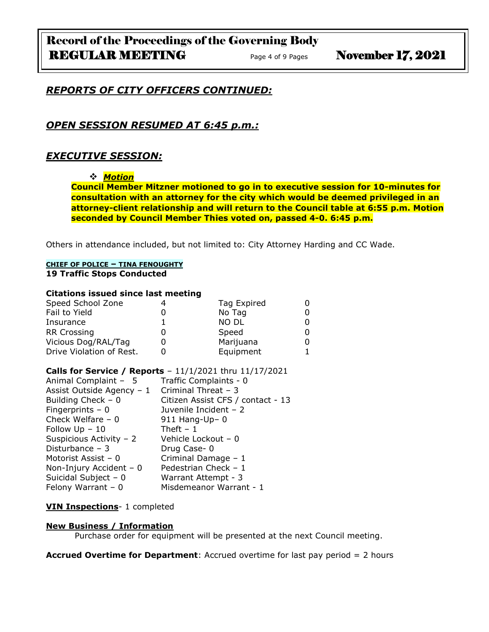## *REPORTS OF CITY OFFICERS CONTINUED:*

## *OPEN SESSION RESUMED AT 6:45 p.m.:*

## *EXECUTIVE SESSION:*

#### ❖ *Motion*

**Council Member Mitzner motioned to go in to executive session for 10-minutes for consultation with an attorney for the city which would be deemed privileged in an attorney-client relationship and will return to the Council table at 6:55 p.m. Motion seconded by Council Member Thies voted on, passed 4-0. 6:45 p.m.** 

Others in attendance included, but not limited to: City Attorney Harding and CC Wade.

#### **CHIEF OF POLICE – TINA FENOUGHTY 19 Traffic Stops Conducted**

#### **Citations issued since last meeting**

| Speed School Zone        | Tag Expired |  |
|--------------------------|-------------|--|
| Fail to Yield            | No Tag      |  |
| Insurance                | NO DL       |  |
| <b>RR Crossing</b>       | Speed       |  |
| Vicious Dog/RAL/Tag      | Marijuana   |  |
| Drive Violation of Rest. | Equipment   |  |

#### **Calls for Service / Reports** – 11/1/2021 thru 11/17/2021

| Animal Complaint - 5      | Traffic Complaints - 0            |
|---------------------------|-----------------------------------|
| Assist Outside Agency - 1 | Criminal Threat - 3               |
| Building Check $-0$       | Citizen Assist CFS / contact - 13 |
| Fingerprints $-0$         | Juvenile Incident - 2             |
| Check Welfare $-0$        | $911$ Hang-Up- 0                  |
| Follow $Up - 10$          | Theft $-1$                        |
| Suspicious Activity - 2   | Vehicle Lockout - 0               |
| Disturbance $-3$          | Drug Case-0                       |
| Motorist Assist - 0       | Criminal Damage - 1               |
| Non-Injury Accident $-0$  | Pedestrian Check - 1              |
| Suicidal Subject - 0      | Warrant Attempt - 3               |
| Felony Warrant $-0$       | Misdemeanor Warrant - 1           |

#### **VIN Inspections**- 1 completed

#### **New Business / Information**

Purchase order for equipment will be presented at the next Council meeting.

**Accrued Overtime for Department**: Accrued overtime for last pay period = 2 hours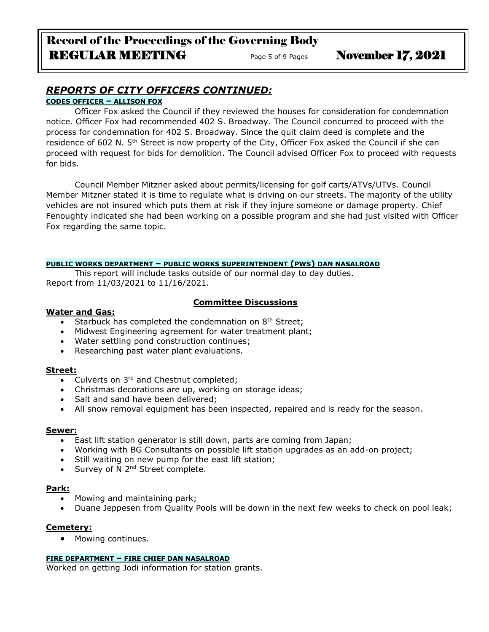# *REPORTS OF CITY OFFICERS CONTINUED:*

## **CODES OFFICER – ALLISON FOX**

Officer Fox asked the Council if they reviewed the houses for consideration for condemnation notice. Officer Fox had recommended 402 S. Broadway. The Council concurred to proceed with the process for condemnation for 402 S. Broadway. Since the quit claim deed is complete and the residence of 602 N. 5<sup>th</sup> Street is now property of the City, Officer Fox asked the Council if she can proceed with request for bids for demolition. The Council advised Officer Fox to proceed with requests for bids.

Council Member Mitzner asked about permits/licensing for golf carts/ATVs/UTVs. Council Member Mitzner stated it is time to regulate what is driving on our streets. The majority of the utility vehicles are not insured which puts them at risk if they injure someone or damage property. Chief Fenoughty indicated she had been working on a possible program and she had just visited with Officer Fox regarding the same topic.

#### **PUBLIC WORKS DEPARTMENT – PUBLIC WORKS SUPERINTENDENT (PWS) DAN NASALROAD**

This report will include tasks outside of our normal day to day duties. Report from 11/03/2021 to 11/16/2021.

### **Committee Discussions**

#### **Water and Gas:**

- Starbuck has completed the condemnation on  $8<sup>th</sup>$  Street;
- Midwest Engineering agreement for water treatment plant;
- Water settling pond construction continues;
- Researching past water plant evaluations.

#### **Street:**

- Culverts on 3<sup>rd</sup> and Chestnut completed;
- Christmas decorations are up, working on storage ideas;
- Salt and sand have been delivered;
- All snow removal equipment has been inspected, repaired and is ready for the season.

#### **Sewer:**

- East lift station generator is still down, parts are coming from Japan;
- Working with BG Consultants on possible lift station upgrades as an add-on project;
- Still waiting on new pump for the east lift station;
- Survey of N 2<sup>nd</sup> Street complete.

#### **Park:**

- Mowing and maintaining park;
- Duane Jeppesen from Quality Pools will be down in the next few weeks to check on pool leak;

#### **Cemetery:**

• Mowing continues.

#### **FIRE DEPARTMENT – FIRE CHIEF DAN NASALROAD**

Worked on getting Jodi information for station grants.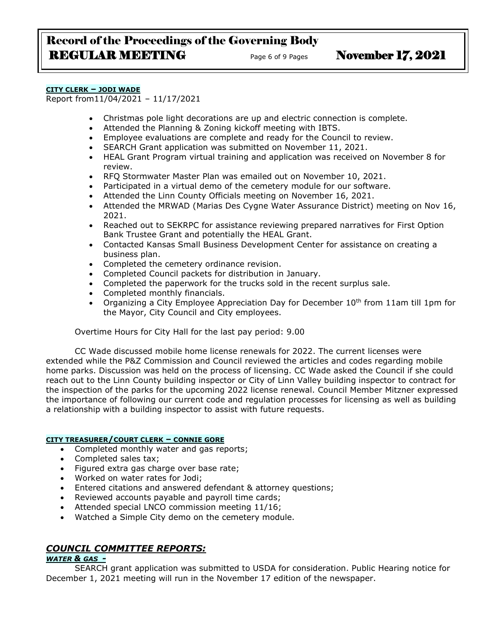# Record of the Proceedings of the Governing Body REGULAR MEETING Page 6 of 9 Pages November 17, 2021

#### **CITY CLERK – JODI WADE**

Report from11/04/2021 – 11/17/2021

- Christmas pole light decorations are up and electric connection is complete.
- Attended the Planning & Zoning kickoff meeting with IBTS.
- Employee evaluations are complete and ready for the Council to review.
- SEARCH Grant application was submitted on November 11, 2021.
- HEAL Grant Program virtual training and application was received on November 8 for review.
- RFQ Stormwater Master Plan was emailed out on November 10, 2021.
- Participated in a virtual demo of the cemetery module for our software.
- Attended the Linn County Officials meeting on November 16, 2021.
- Attended the MRWAD (Marias Des Cygne Water Assurance District) meeting on Nov 16, 2021.
- Reached out to SEKRPC for assistance reviewing prepared narratives for First Option Bank Trustee Grant and potentially the HEAL Grant.
- Contacted Kansas Small Business Development Center for assistance on creating a business plan.
- Completed the cemetery ordinance revision.
- Completed Council packets for distribution in January.
- Completed the paperwork for the trucks sold in the recent surplus sale.
- Completed monthly financials.
- Organizing a City Employee Appreciation Day for December 10<sup>th</sup> from 11am till 1pm for the Mayor, City Council and City employees.

Overtime Hours for City Hall for the last pay period: 9.00

CC Wade discussed mobile home license renewals for 2022. The current licenses were extended while the P&Z Commission and Council reviewed the articles and codes regarding mobile home parks. Discussion was held on the process of licensing. CC Wade asked the Council if she could reach out to the Linn County building inspector or City of Linn Valley building inspector to contract for the inspection of the parks for the upcoming 2022 license renewal. Council Member Mitzner expressed the importance of following our current code and regulation processes for licensing as well as building a relationship with a building inspector to assist with future requests.

#### **CITY TREASURER/COURT CLERK – CONNIE GORE**

- Completed monthly water and gas reports;
- Completed sales tax;
- Figured extra gas charge over base rate;
- Worked on water rates for Jodi;
- Entered citations and answered defendant & attorney questions;
- Reviewed accounts payable and payroll time cards;
- Attended special LNCO commission meeting 11/16;
- Watched a Simple City demo on the cemetery module.

## *COUNCIL COMMITTEE REPORTS:*

## *WATER & GAS -*

SEARCH grant application was submitted to USDA for consideration. Public Hearing notice for December 1, 2021 meeting will run in the November 17 edition of the newspaper.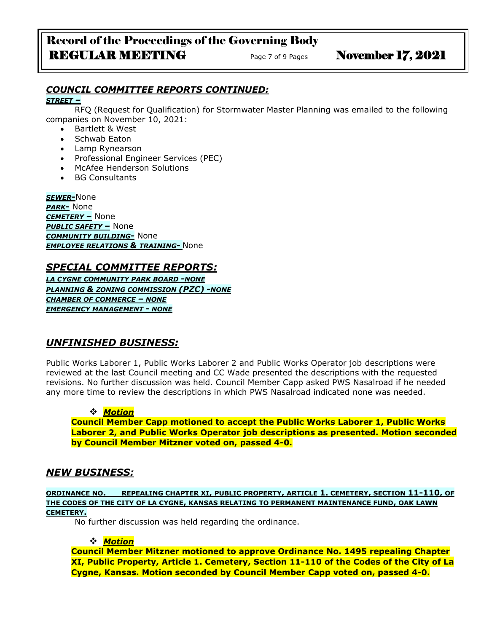# Record of the Proceedings of the Governing Body REGULAR MEETING Page 7 of 9 Pages November 17, 2021

## *COUNCIL COMMITTEE REPORTS CONTINUED:*

*STREET –*

RFQ (Request for Qualification) for Stormwater Master Planning was emailed to the following companies on November 10, 2021:

- Bartlett & West
- Schwab Eaton
- Lamp Rynearson
- Professional Engineer Services (PEC)
- McAfee Henderson Solutions
- BG Consultants

*SEWER-*None *PARK-* None *CEMETERY –* None *PUBLIC SAFETY –* None *COMMUNITY BUILDING-* None *EMPLOYEE RELATIONS & TRAINING-* None

## *SPECIAL COMMITTEE REPORTS:*

*LA CYGNE COMMUNITY PARK BOARD -NONE PLANNING & ZONING COMMISSION (PZC) -NONE CHAMBER OF COMMERCE – NONE EMERGENCY MANAGEMENT - NONE*

# *UNFINISHED BUSINESS:*

Public Works Laborer 1, Public Works Laborer 2 and Public Works Operator job descriptions were reviewed at the last Council meeting and CC Wade presented the descriptions with the requested revisions. No further discussion was held. Council Member Capp asked PWS Nasalroad if he needed any more time to review the descriptions in which PWS Nasalroad indicated none was needed.

## ❖ *Motion*

**Council Member Capp motioned to accept the Public Works Laborer 1, Public Works Laborer 2, and Public Works Operator job descriptions as presented. Motion seconded by Council Member Mitzner voted on, passed 4-0.**

## *NEW BUSINESS:*

**ORDINANCE NO. \_\_REPEALING CHAPTER XI, PUBLIC PROPERTY, ARTICLE 1. CEMETERY, SECTION 11-110, OF THE CODES OF THE CITY OF LA CYGNE, KANSAS RELATING TO PERMANENT MAINTENANCE FUND, OAK LAWN CEMETERY.**

No further discussion was held regarding the ordinance.

## ❖ *Motion*

**Council Member Mitzner motioned to approve Ordinance No. 1495 repealing Chapter XI, Public Property, Article 1. Cemetery, Section 11-110 of the Codes of the City of La Cygne, Kansas. Motion seconded by Council Member Capp voted on, passed 4-0.**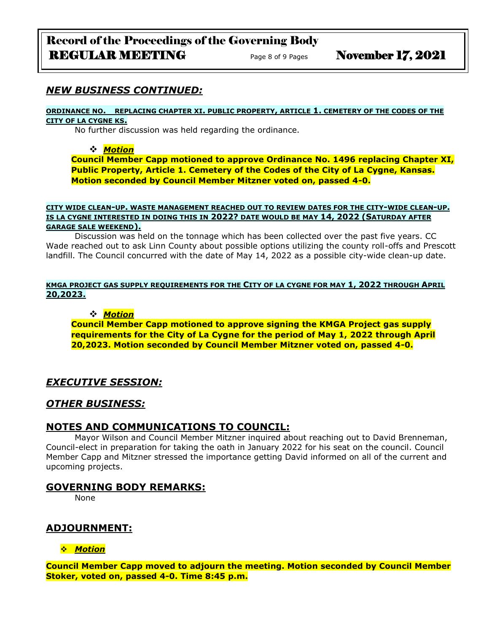## *NEW BUSINESS CONTINUED:*

#### **ORDINANCE NO. REPLACING CHAPTER XI. PUBLIC PROPERTY, ARTICLE 1. CEMETERY OF THE CODES OF THE CITY OF LA CYGNE KS.**

No further discussion was held regarding the ordinance.

#### ❖ *Motion*

**Council Member Capp motioned to approve Ordinance No. 1496 replacing Chapter XI, Public Property, Article 1. Cemetery of the Codes of the City of La Cygne, Kansas. Motion seconded by Council Member Mitzner voted on, passed 4-0.**

#### **CITY WIDE CLEAN-UP. WASTE MANAGEMENT REACHED OUT TO REVIEW DATES FOR THE CITY-WIDE CLEAN-UP. IS LA CYGNE INTERESTED IN DOING THIS IN 2022? DATE WOULD BE MAY 14, 2022 (SATURDAY AFTER GARAGE SALE WEEKEND).**

Discussion was held on the tonnage which has been collected over the past five years. CC Wade reached out to ask Linn County about possible options utilizing the county roll-offs and Prescott landfill. The Council concurred with the date of May 14, 2022 as a possible city-wide clean-up date.

**KMGA PROJECT GAS SUPPLY REQUIREMENTS FOR THE CITY OF LA CYGNE FOR MAY 1, 2022 THROUGH APRIL 20,2023.**

#### ❖ *Motion*

**Council Member Capp motioned to approve signing the KMGA Project gas supply requirements for the City of La Cygne for the period of May 1, 2022 through April 20,2023. Motion seconded by Council Member Mitzner voted on, passed 4-0.**

#### *EXECUTIVE SESSION:*

#### *OTHER BUSINESS:*

### **NOTES AND COMMUNICATIONS TO COUNCIL:**

Mayor Wilson and Council Member Mitzner inquired about reaching out to David Brenneman, Council-elect in preparation for taking the oath in January 2022 for his seat on the council. Council Member Capp and Mitzner stressed the importance getting David informed on all of the current and upcoming projects.

#### **GOVERNING BODY REMARKS:**

None

## **ADJOURNMENT:**

#### ❖ *Motion*

**Council Member Capp moved to adjourn the meeting. Motion seconded by Council Member Stoker, voted on, passed 4-0. Time 8:45 p.m.**